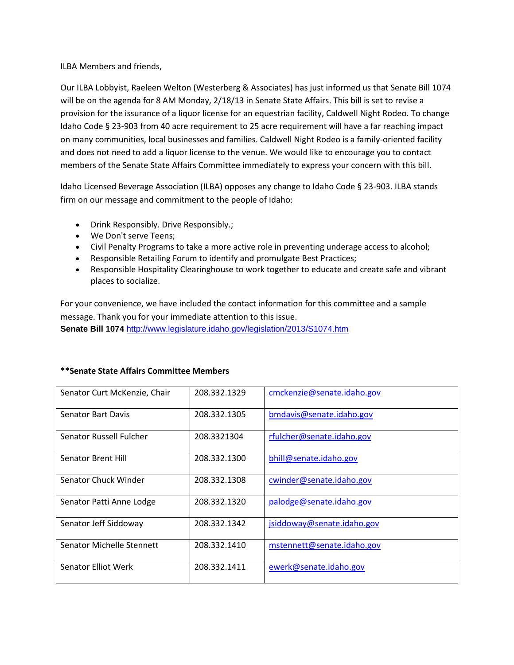## ILBA Members and friends,

Our ILBA Lobbyist, Raeleen Welton (Westerberg & Associates) has just informed us that Senate Bill 1074 will be on the agenda for 8 AM Monday, 2/18/13 in Senate State Affairs. This bill is set to revise a provision for the issurance of a liquor license for an equestrian facility, Caldwell Night Rodeo. To change Idaho Code § 23-903 from 40 acre requirement to 25 acre requirement will have a far reaching impact on many communities, local businesses and families. Caldwell Night Rodeo is a family-oriented facility and does not need to add a liquor license to the venue. We would like to encourage you to contact members of the Senate State Affairs Committee immediately to express your concern with this bill.

Idaho Licensed Beverage Association (ILBA) opposes any change to Idaho Code § 23-903. ILBA stands firm on our message and commitment to the people of Idaho:

- Drink Responsibly. Drive Responsibly.;
- We Don't serve Teens;
- Civil Penalty Programs to take a more active role in preventing underage access to alcohol;
- Responsible Retailing Forum to identify and promulgate Best Practices;
- Responsible Hospitality Clearinghouse to work together to educate and create safe and vibrant places to socialize.

For your convenience, we have included the contact information for this committee and a sample message. Thank you for your immediate attention to this issue. **Senate Bill 1074** <http://www.legislature.idaho.gov/legislation/2013/S1074.htm>

| Senator Curt McKenzie, Chair | 208.332.1329 | cmckenzie@senate.idaho.gov |
|------------------------------|--------------|----------------------------|
| <b>Senator Bart Davis</b>    | 208.332.1305 | bmdavis@senate.idaho.gov   |
| Senator Russell Fulcher      | 208.3321304  | rfulcher@senate.idaho.gov  |
| Senator Brent Hill           | 208.332.1300 | bhill@senate.idaho.gov     |
| Senator Chuck Winder         | 208.332.1308 | cwinder@senate.idaho.gov   |
| Senator Patti Anne Lodge     | 208.332.1320 | palodge@senate.idaho.gov   |
| Senator Jeff Siddoway        | 208.332.1342 | jsiddoway@senate.idaho.gov |
| Senator Michelle Stennett    | 208.332.1410 | mstennett@senate.idaho.gov |
| <b>Senator Elliot Werk</b>   | 208.332.1411 | ewerk@senate.idaho.gov     |

## **\*\*Senate State Affairs Committee Members**